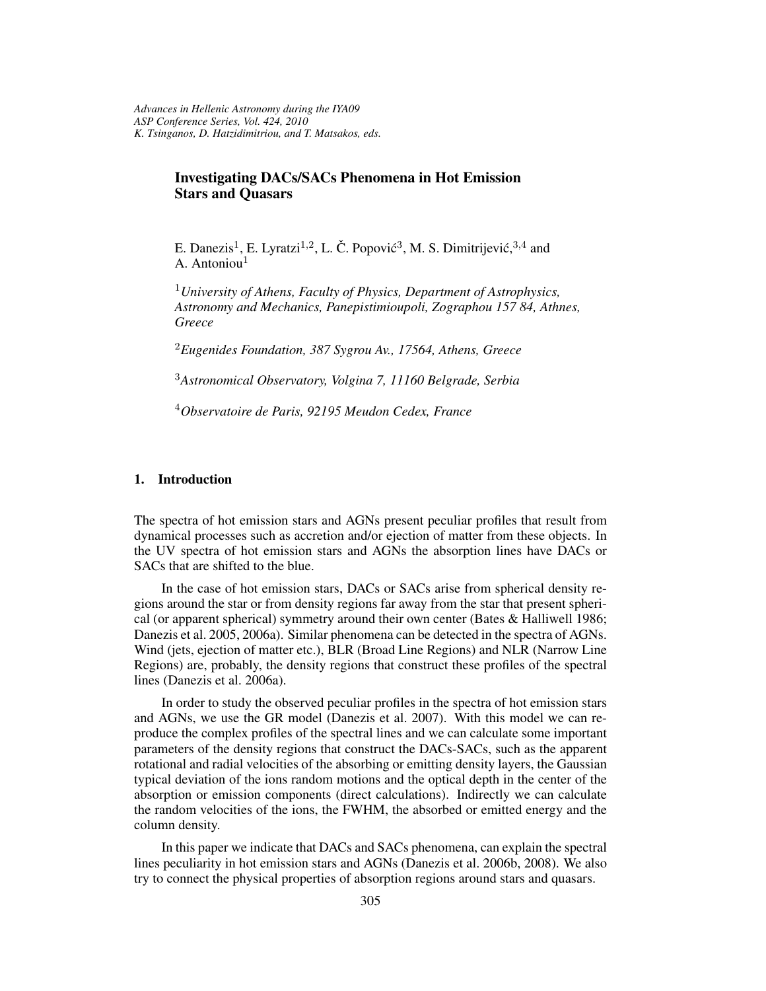## **Investigating DACs/SACs Phenomena in Hot Emission Stars and Quasars**

E. Danezis<sup>1</sup>, E. Lyratzi<sup>1,2</sup>, L. Č. Popović<sup>3</sup>, M. S. Dimitrijević, <sup>3,4</sup> and A. Antoniou $<sup>1</sup>$ </sup>

<sup>1</sup>*University of Athens, Faculty of Physics, Department of Astrophysics, Astronomy and Mechanics, Panepistimioupoli, Zographou 157 84, Athnes, Greece*

<sup>2</sup>*Eugenides Foundation, 387 Sygrou Av., 17564, Athens, Greece*

<sup>3</sup>*Astronomical Observatory, Volgina 7, 11160 Belgrade, Serbia*

<sup>4</sup>*Observatoire de Paris, 92195 Meudon Cedex, France*

## **1. Introduction**

The spectra of hot emission stars and AGNs present peculiar profiles that result from dynamical processes such as accretion and/or ejection of matter from these objects. In the UV spectra of hot emission stars and AGNs the absorption lines have DACs or SACs that are shifted to the blue.

In the case of hot emission stars, DACs or SACs arise from spherical density regions around the star or from density regions far away from the star that present spherical (or apparent spherical) symmetry around their own center (Bates & Halliwell 1986; Danezis et al. 2005, 2006a). Similar phenomena can be detected in the spectra of AGNs. Wind (jets, ejection of matter etc.), BLR (Broad Line Regions) and NLR (Narrow Line Regions) are, probably, the density regions that construct these profiles of the spectral lines (Danezis et al. 2006a).

In order to study the observed peculiar profiles in the spectra of hot emission stars and AGNs, we use the GR model (Danezis et al. 2007). With this model we can reproduce the complex profiles of the spectral lines and we can calculate some important parameters of the density regions that construct the DACs-SACs, such as the apparent rotational and radial velocities of the absorbing or emitting density layers, the Gaussian typical deviation of the ions random motions and the optical depth in the center of the absorption or emission components (direct calculations). Indirectly we can calculate the random velocities of the ions, the FWHM, the absorbed or emitted energy and the column density.

In this paper we indicate that DACs and SACs phenomena, can explain the spectral lines peculiarity in hot emission stars and AGNs (Danezis et al. 2006b, 2008). We also try to connect the physical properties of absorption regions around stars and quasars.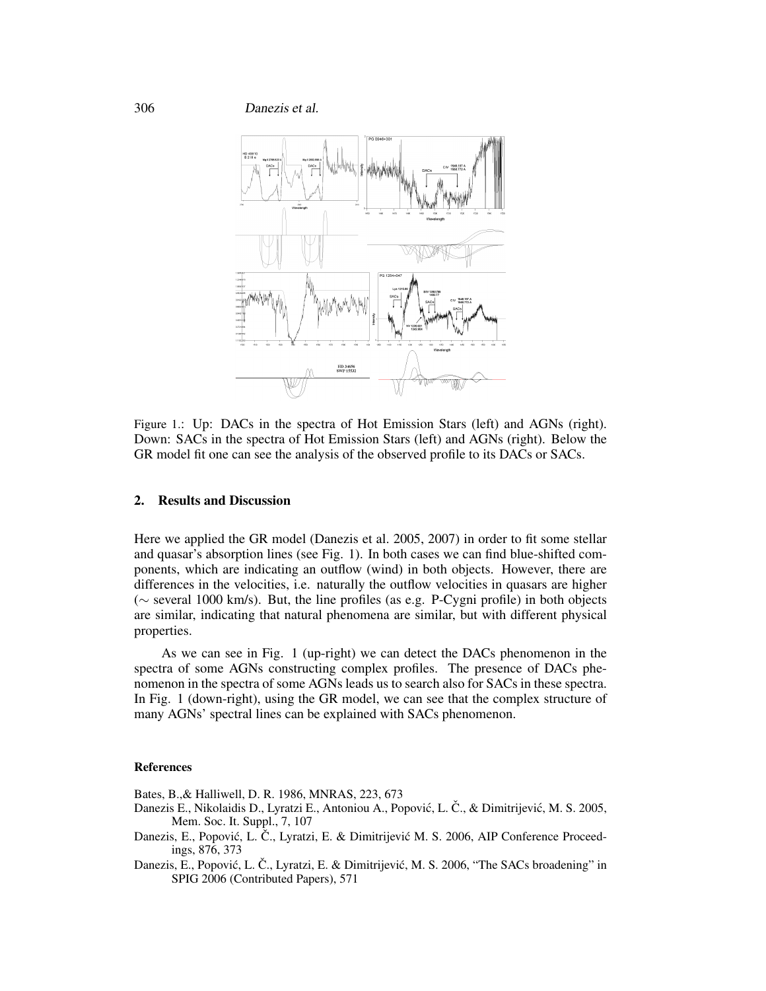306 Danezis et al.



Figure 1.: Up: DACs in the spectra of Hot Emission Stars (left) and AGNs (right). Down: SACs in the spectra of Hot Emission Stars (left) and AGNs (right). Below the GR model fit one can see the analysis of the observed profile to its DACs or SACs.

## **2. Results and Discussion**

Here we applied the GR model (Danezis et al. 2005, 2007) in order to fit some stellar and quasar's absorption lines (see Fig. 1). In both cases we can find blue-shifted components, which are indicating an outflow (wind) in both objects. However, there are differences in the velocities, i.e. naturally the outflow velocities in quasars are higher (∼ several 1000 km/s). But, the line profiles (as e.g. P-Cygni profile) in both objects are similar, indicating that natural phenomena are similar, but with different physical properties.

As we can see in Fig. 1 (up-right) we can detect the DACs phenomenon in the spectra of some AGNs constructing complex profiles. The presence of DACs phenomenon in the spectra of some AGNs leads us to search also for SACs in these spectra. In Fig. 1 (down-right), using the GR model, we can see that the complex structure of many AGNs' spectral lines can be explained with SACs phenomenon.

## **References**

Bates, B.,& Halliwell, D. R. 1986, MNRAS, 223, 673

- Danezis E., Nikolaidis D., Lyratzi E., Antoniou A., Popović, L. Č., & Dimitrijević, M. S. 2005, Mem. Soc. It. Suppl., 7, 107
- Danezis, E., Popović, L. Č., Lyratzi, E. & Dimitrijević M. S. 2006, AIP Conference Proceedings, 876, 373
- Danezis, E., Popović, L. Č., Lyratzi, E. & Dimitrijević, M. S. 2006, "The SACs broadening" in SPIG 2006 (Contributed Papers), 571